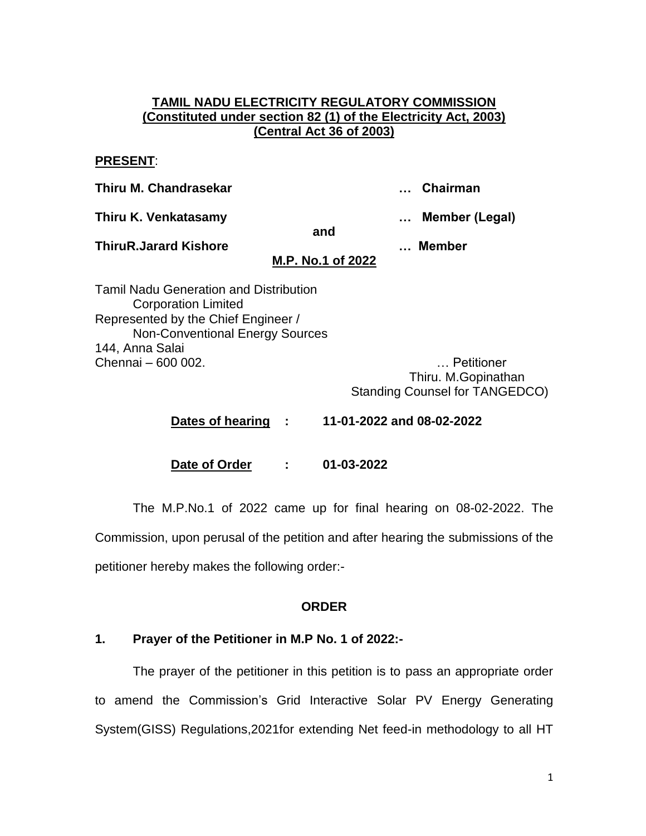### **TAMIL NADU ELECTRICITY REGULATORY COMMISSION (Constituted under section 82 (1) of the Electricity Act, 2003) (Central Act 36 of 2003)**

#### **PRESENT**:

**Thiru M. Chandrasekar … Chairman**

**Thiru K. Venkatasamy … Member (Legal)**

**and**

**ThiruR.Jarard Kishore … Member**

# **M.P. No.1 of 2022**

Tamil Nadu Generation and Distribution Corporation Limited Represented by the Chief Engineer / Non-Conventional Energy Sources 144, Anna Salai Chennai – 600 002. … Petitioner

Thiru. M.Gopinathan Standing Counsel for TANGEDCO)

**Dates of hearing : 11-01-2022 and 08-02-2022**

**Date of Order : 01-03-2022**

The M.P.No.1 of 2022 came up for final hearing on 08-02-2022. The Commission, upon perusal of the petition and after hearing the submissions of the petitioner hereby makes the following order:-

# **ORDER**

# **1. Prayer of the Petitioner in M.P No. 1 of 2022:-**

The prayer of the petitioner in this petition is to pass an appropriate order to amend the Commission's Grid Interactive Solar PV Energy Generating System(GISS) Regulations,2021for extending Net feed-in methodology to all HT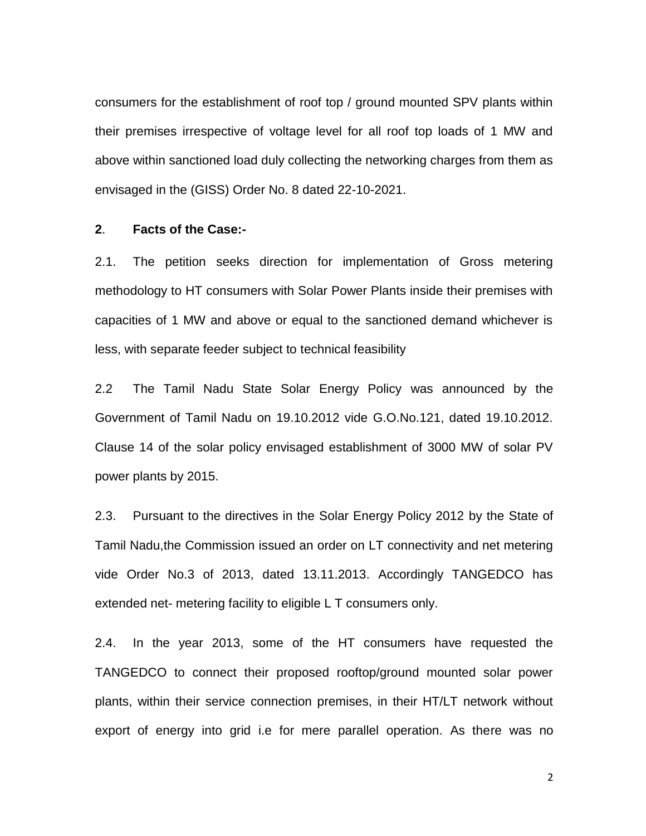consumers for the establishment of roof top / ground mounted SPV plants within their premises irrespective of voltage level for all roof top loads of 1 MW and above within sanctioned load duly collecting the networking charges from them as envisaged in the (GISS) Order No. 8 dated 22-10-2021.

#### **2**. **Facts of the Case:-**

2.1. The petition seeks direction for implementation of Gross metering methodology to HT consumers with Solar Power Plants inside their premises with capacities of 1 MW and above or equal to the sanctioned demand whichever is less, with separate feeder subject to technical feasibility

2.2 The Tamil Nadu State Solar Energy Policy was announced by the Government of Tamil Nadu on 19.10.2012 vide G.O.No.121, dated 19.10.2012. Clause 14 of the solar policy envisaged establishment of 3000 MW of solar PV power plants by 2015.

2.3. Pursuant to the directives in the Solar Energy Policy 2012 by the State of Tamil Nadu,the Commission issued an order on LT connectivity and net metering vide Order No.3 of 2013, dated 13.11.2013. Accordingly TANGEDCO has extended net- metering facility to eligible L T consumers only.

2.4. In the year 2013, some of the HT consumers have requested the TANGEDCO to connect their proposed rooftop/ground mounted solar power plants, within their service connection premises, in their HT/LT network without export of energy into grid i.e for mere parallel operation. As there was no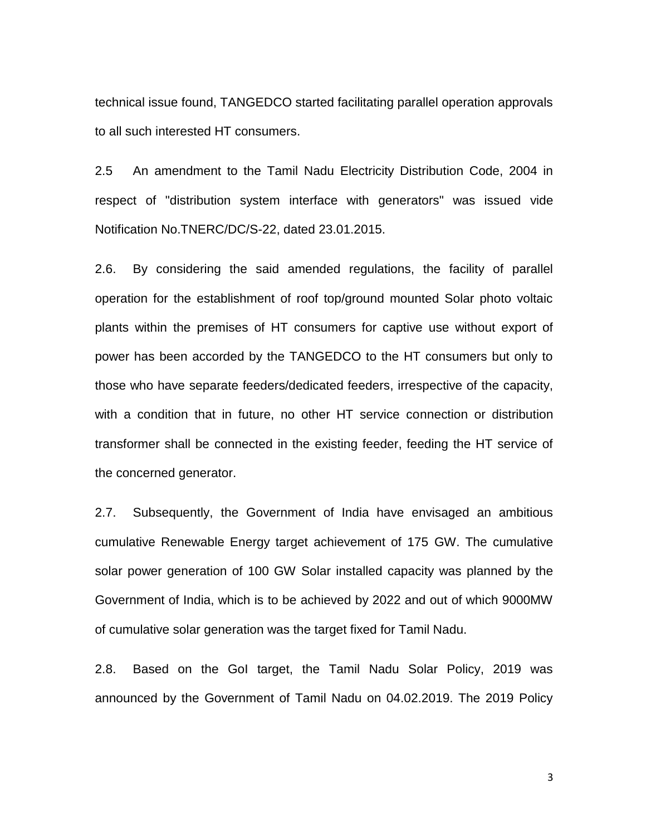technical issue found, TANGEDCO started facilitating parallel operation approvals to all such interested HT consumers.

2.5 An amendment to the Tamil Nadu Electricity Distribution Code, 2004 in respect of "distribution system interface with generators" was issued vide Notification No.TNERC/DC/S-22, dated 23.01.2015.

2.6. By considering the said amended regulations, the facility of parallel operation for the establishment of roof top/ground mounted Solar photo voltaic plants within the premises of HT consumers for captive use without export of power has been accorded by the TANGEDCO to the HT consumers but only to those who have separate feeders/dedicated feeders, irrespective of the capacity, with a condition that in future, no other HT service connection or distribution transformer shall be connected in the existing feeder, feeding the HT service of the concerned generator.

2.7. Subsequently, the Government of India have envisaged an ambitious cumulative Renewable Energy target achievement of 175 GW. The cumulative solar power generation of 100 GW Solar installed capacity was planned by the Government of India, which is to be achieved by 2022 and out of which 9000MW of cumulative solar generation was the target fixed for Tamil Nadu.

2.8. Based on the GoI target, the Tamil Nadu Solar Policy, 2019 was announced by the Government of Tamil Nadu on 04.02.2019. The 2019 Policy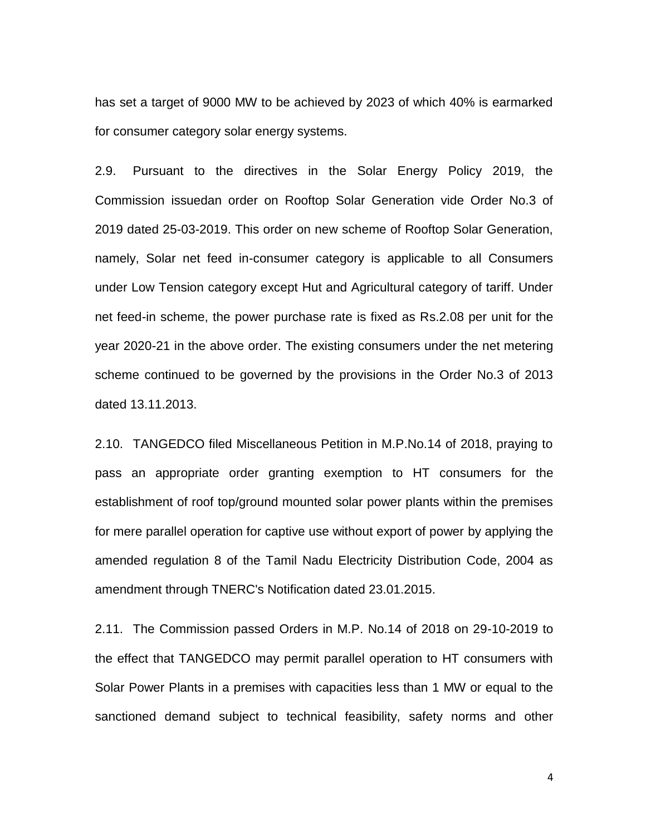has set a target of 9000 MW to be achieved by 2023 of which 40% is earmarked for consumer category solar energy systems.

2.9. Pursuant to the directives in the Solar Energy Policy 2019, the Commission issuedan order on Rooftop Solar Generation vide Order No.3 of 2019 dated 25-03-2019. This order on new scheme of Rooftop Solar Generation, namely, Solar net feed in-consumer category is applicable to all Consumers under Low Tension category except Hut and Agricultural category of tariff. Under net feed-in scheme, the power purchase rate is fixed as Rs.2.08 per unit for the year 2020-21 in the above order. The existing consumers under the net metering scheme continued to be governed by the provisions in the Order No.3 of 2013 dated 13.11.2013.

2.10. TANGEDCO filed Miscellaneous Petition in M.P.No.14 of 2018, praying to pass an appropriate order granting exemption to HT consumers for the establishment of roof top/ground mounted solar power plants within the premises for mere parallel operation for captive use without export of power by applying the amended regulation 8 of the Tamil Nadu Electricity Distribution Code, 2004 as amendment through TNERC's Notification dated 23.01.2015.

2.11. The Commission passed Orders in M.P. No.14 of 2018 on 29-10-2019 to the effect that TANGEDCO may permit parallel operation to HT consumers with Solar Power Plants in a premises with capacities less than 1 MW or equal to the sanctioned demand subject to technical feasibility, safety norms and other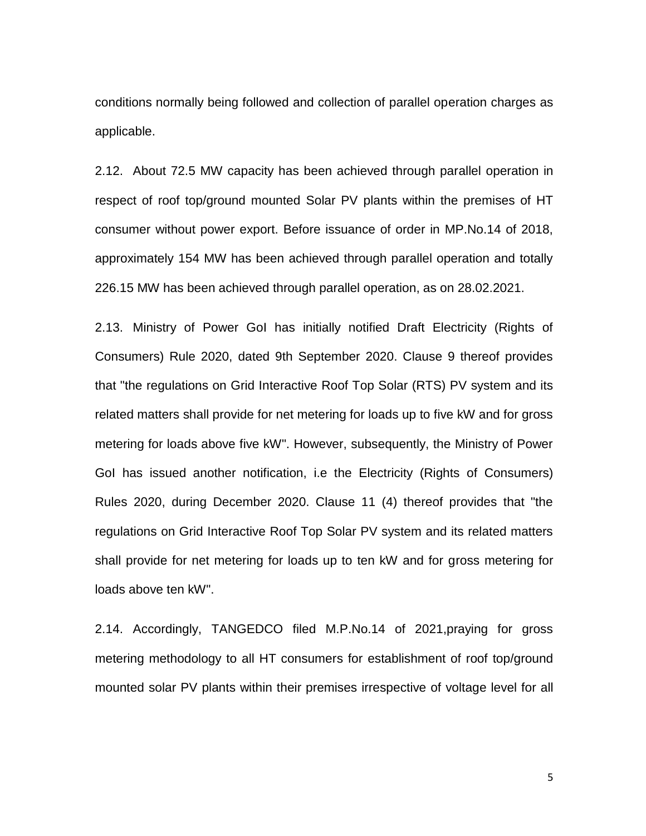conditions normally being followed and collection of parallel operation charges as applicable.

2.12. About 72.5 MW capacity has been achieved through parallel operation in respect of roof top/ground mounted Solar PV plants within the premises of HT consumer without power export. Before issuance of order in MP.No.14 of 2018, approximately 154 MW has been achieved through parallel operation and totally 226.15 MW has been achieved through parallel operation, as on 28.02.2021.

2.13. Ministry of Power GoI has initially notified Draft Electricity (Rights of Consumers) Rule 2020, dated 9th September 2020. Clause 9 thereof provides that "the regulations on Grid Interactive Roof Top Solar (RTS) PV system and its related matters shall provide for net metering for loads up to five kW and for gross metering for loads above five kW". However, subsequently, the Ministry of Power GoI has issued another notification, i.e the Electricity (Rights of Consumers) Rules 2020, during December 2020. Clause 11 (4) thereof provides that "the regulations on Grid Interactive Roof Top Solar PV system and its related matters shall provide for net metering for loads up to ten kW and for gross metering for loads above ten kW".

2.14. Accordingly, TANGEDCO filed M.P.No.14 of 2021,praying for gross metering methodology to all HT consumers for establishment of roof top/ground mounted solar PV plants within their premises irrespective of voltage level for all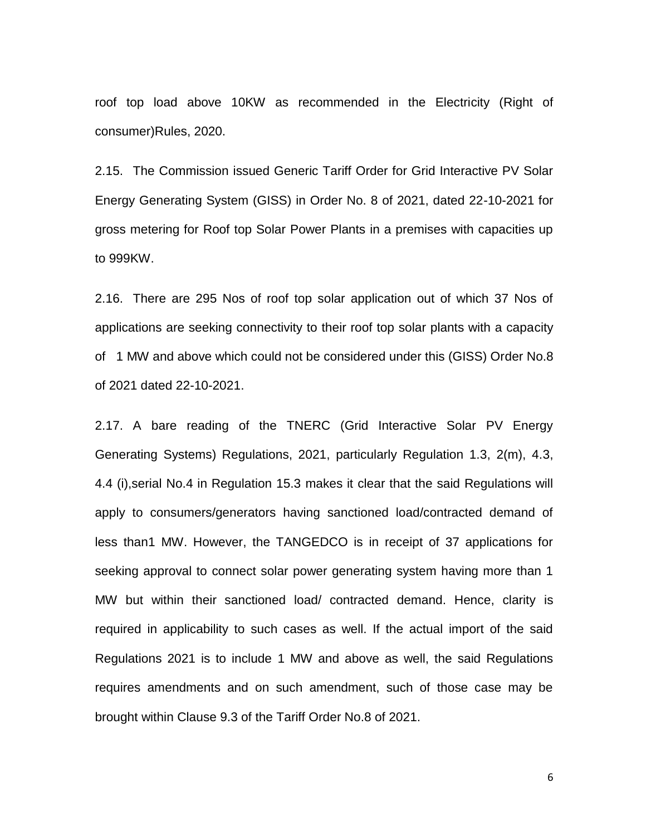roof top load above 10KW as recommended in the Electricity (Right of consumer)Rules, 2020.

2.15. The Commission issued Generic Tariff Order for Grid Interactive PV Solar Energy Generating System (GISS) in Order No. 8 of 2021, dated 22-10-2021 for gross metering for Roof top Solar Power Plants in a premises with capacities up to 999KW.

2.16. There are 295 Nos of roof top solar application out of which 37 Nos of applications are seeking connectivity to their roof top solar plants with a capacity of 1 MW and above which could not be considered under this (GISS) Order No.8 of 2021 dated 22-10-2021.

2.17. A bare reading of the TNERC (Grid Interactive Solar PV Energy Generating Systems) Regulations, 2021, particularly Regulation 1.3, 2(m), 4.3, 4.4 (i),serial No.4 in Regulation 15.3 makes it clear that the said Regulations will apply to consumers/generators having sanctioned load/contracted demand of less than1 MW. However, the TANGEDCO is in receipt of 37 applications for seeking approval to connect solar power generating system having more than 1 MW but within their sanctioned load/ contracted demand. Hence, clarity is required in applicability to such cases as well. If the actual import of the said Regulations 2021 is to include 1 MW and above as well, the said Regulations requires amendments and on such amendment, such of those case may be brought within Clause 9.3 of the Tariff Order No.8 of 2021.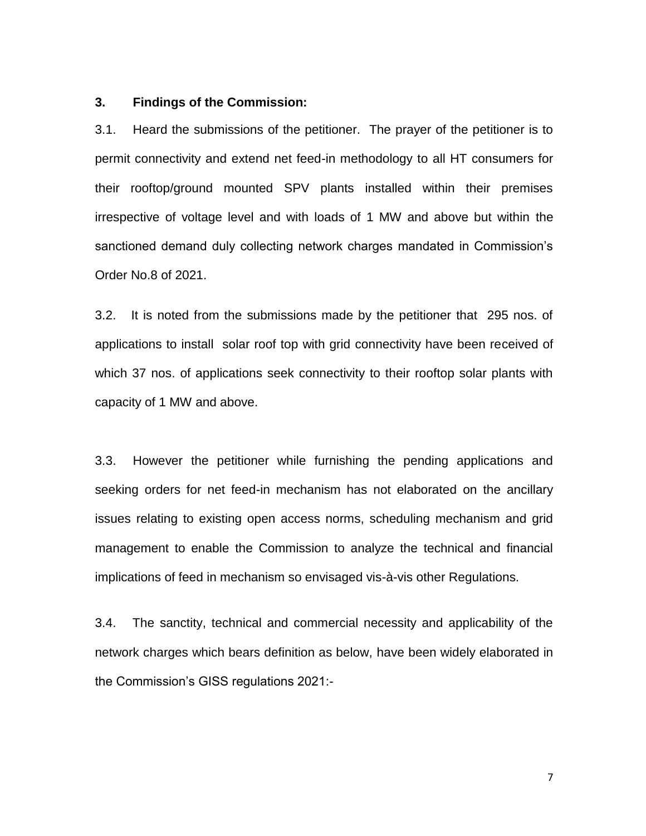#### **3. Findings of the Commission:**

3.1. Heard the submissions of the petitioner. The prayer of the petitioner is to permit connectivity and extend net feed-in methodology to all HT consumers for their rooftop/ground mounted SPV plants installed within their premises irrespective of voltage level and with loads of 1 MW and above but within the sanctioned demand duly collecting network charges mandated in Commission's Order No.8 of 2021.

3.2. It is noted from the submissions made by the petitioner that 295 nos. of applications to install solar roof top with grid connectivity have been received of which 37 nos. of applications seek connectivity to their rooftop solar plants with capacity of 1 MW and above.

3.3. However the petitioner while furnishing the pending applications and seeking orders for net feed-in mechanism has not elaborated on the ancillary issues relating to existing open access norms, scheduling mechanism and grid management to enable the Commission to analyze the technical and financial implications of feed in mechanism so envisaged vis-à-vis other Regulations.

3.4. The sanctity, technical and commercial necessity and applicability of the network charges which bears definition as below, have been widely elaborated in the Commission's GISS regulations 2021:-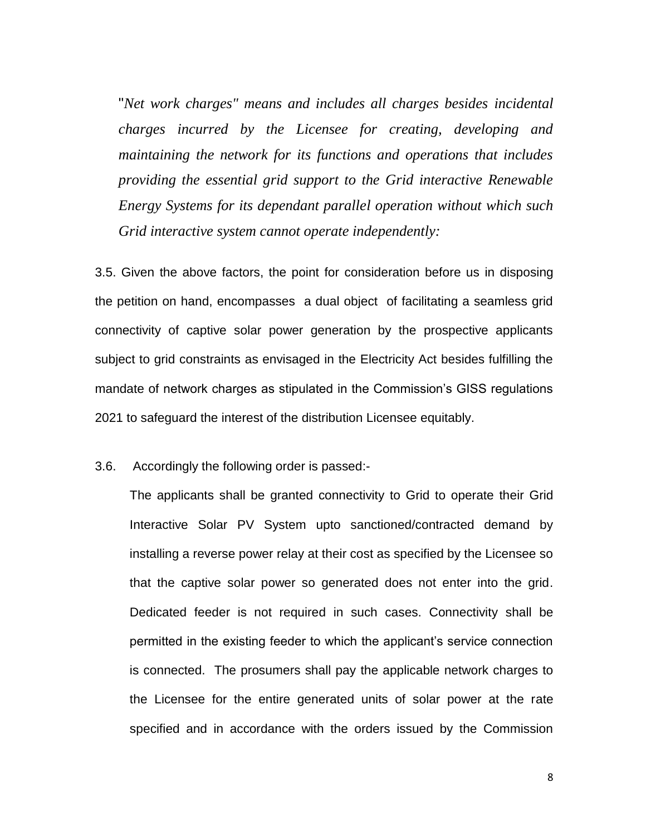"*Net work charges" means and includes all charges besides incidental charges incurred by the Licensee for creating, developing and maintaining the network for its functions and operations that includes providing the essential grid support to the Grid interactive Renewable Energy Systems for its dependant parallel operation without which such Grid interactive system cannot operate independently:*

3.5. Given the above factors, the point for consideration before us in disposing the petition on hand, encompasses a dual object of facilitating a seamless grid connectivity of captive solar power generation by the prospective applicants subject to grid constraints as envisaged in the Electricity Act besides fulfilling the mandate of network charges as stipulated in the Commission's GISS regulations 2021 to safeguard the interest of the distribution Licensee equitably.

3.6. Accordingly the following order is passed:-

The applicants shall be granted connectivity to Grid to operate their Grid Interactive Solar PV System upto sanctioned/contracted demand by installing a reverse power relay at their cost as specified by the Licensee so that the captive solar power so generated does not enter into the grid. Dedicated feeder is not required in such cases. Connectivity shall be permitted in the existing feeder to which the applicant's service connection is connected. The prosumers shall pay the applicable network charges to the Licensee for the entire generated units of solar power at the rate specified and in accordance with the orders issued by the Commission